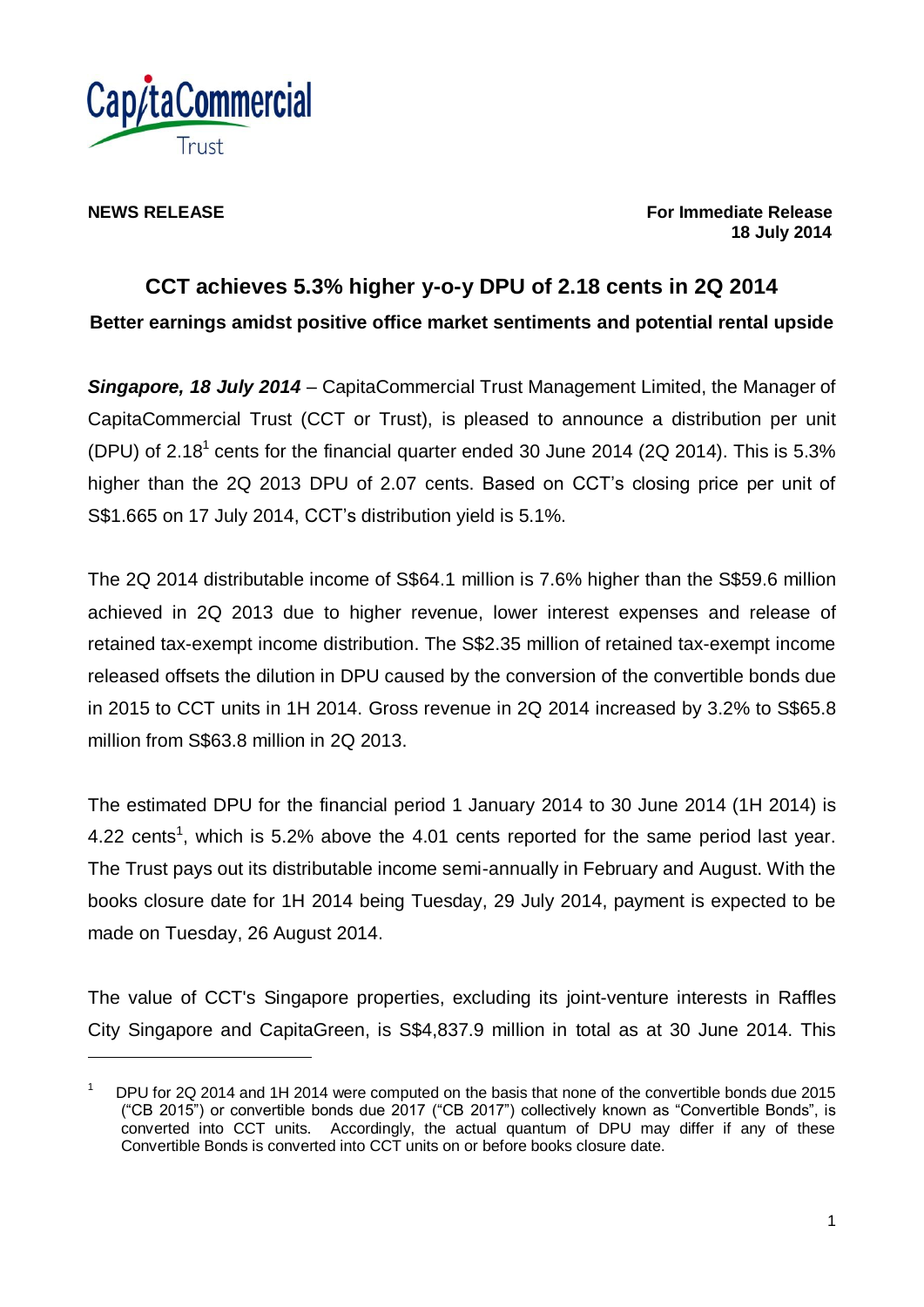

1

**NEWS RELEASE For Immediate Release 18 July 2014**

# **CCT achieves 5.3% higher y-o-y DPU of 2.18 cents in 2Q 2014 Better earnings amidst positive office market sentiments and potential rental upside**

*Singapore, 18 July 2014* – CapitaCommercial Trust Management Limited, the Manager of CapitaCommercial Trust (CCT or Trust), is pleased to announce a distribution per unit (DPU) of 2.18<sup>1</sup> cents for the financial quarter ended 30 June 2014 (2Q 2014). This is 5.3% higher than the 2Q 2013 DPU of 2.07 cents. Based on CCT's closing price per unit of S\$1.665 on 17 July 2014, CCT's distribution yield is 5.1%.

The 2Q 2014 distributable income of S\$64.1 million is 7.6% higher than the S\$59.6 million achieved in 2Q 2013 due to higher revenue, lower interest expenses and release of retained tax-exempt income distribution. The S\$2.35 million of retained tax-exempt income released offsets the dilution in DPU caused by the conversion of the convertible bonds due in 2015 to CCT units in 1H 2014. Gross revenue in 2Q 2014 increased by 3.2% to S\$65.8 million from S\$63.8 million in 2Q 2013.

The estimated DPU for the financial period 1 January 2014 to 30 June 2014 (1H 2014) is 4.22 cents<sup>1</sup>, which is 5.2% above the 4.01 cents reported for the same period last year. The Trust pays out its distributable income semi-annually in February and August. With the books closure date for 1H 2014 being Tuesday, 29 July 2014, payment is expected to be made on Tuesday, 26 August 2014.

The value of CCT's Singapore properties, excluding its joint-venture interests in Raffles City Singapore and CapitaGreen, is S\$4,837.9 million in total as at 30 June 2014. This

<sup>1</sup> DPU for 2Q 2014 and 1H 2014 were computed on the basis that none of the convertible bonds due 2015 ("CB 2015") or convertible bonds due 2017 ("CB 2017") collectively known as "Convertible Bonds", is converted into CCT units. Accordingly, the actual quantum of DPU may differ if any of these Convertible Bonds is converted into CCT units on or before books closure date.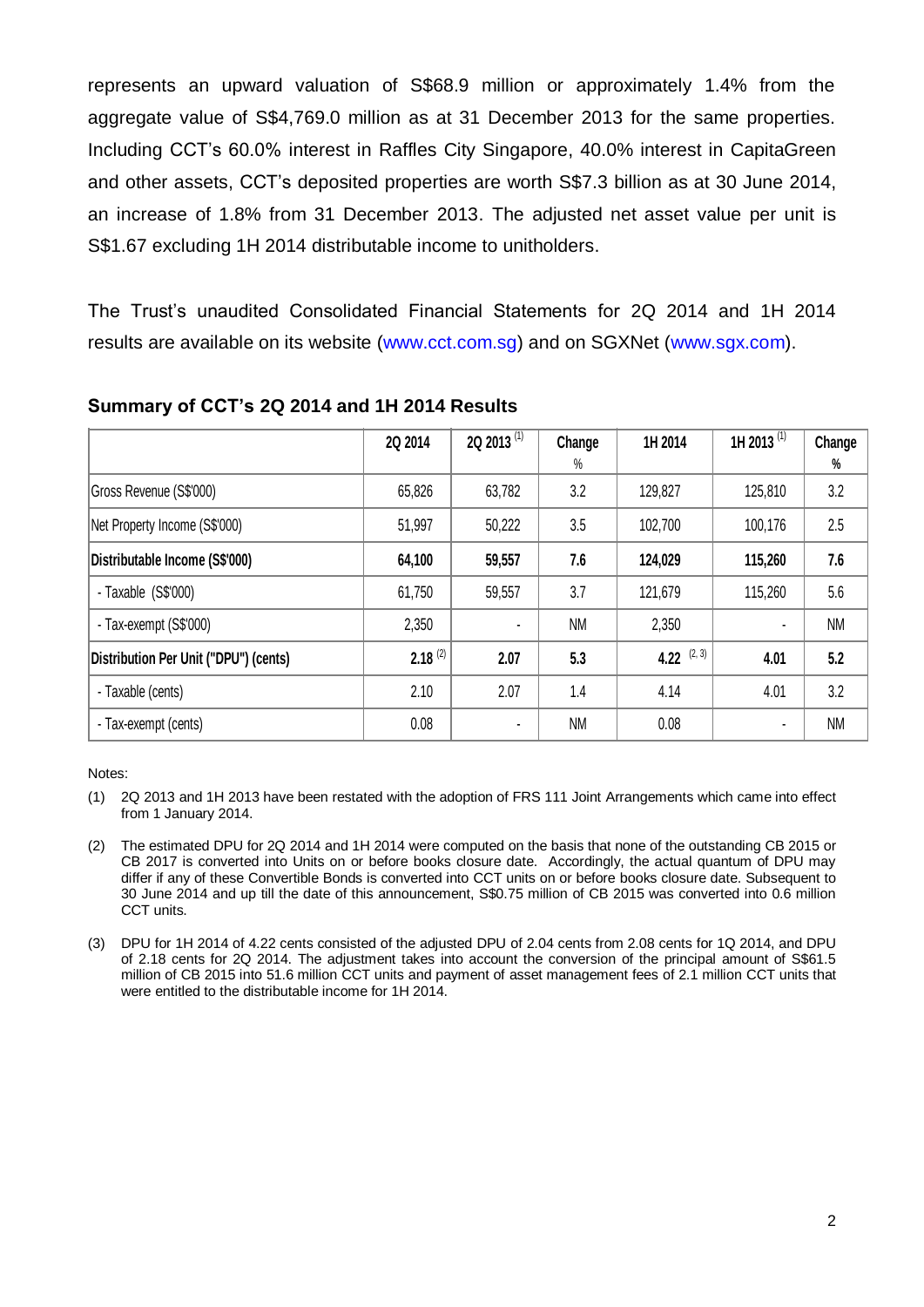represents an upward valuation of S\$68.9 million or approximately 1.4% from the aggregate value of S\$4,769.0 million as at 31 December 2013 for the same properties. Including CCT's 60.0% interest in Raffles City Singapore, 40.0% interest in CapitaGreen and other assets, CCT's deposited properties are worth S\$7.3 billion as at 30 June 2014, an increase of 1.8% from 31 December 2013. The adjusted net asset value per unit is S\$1.67 excluding 1H 2014 distributable income to unitholders.

The Trust's unaudited Consolidated Financial Statements for 2Q 2014 and 1H 2014 results are available on its website (www.cct.com.sg) and on SGXNet (www.sgx.com).

|                                       | 2Q 2014      | 2Q 2013 $(1)$  | Change    | 1H 2014       | 1H 2013 <sup>(1)</sup> | Change    |
|---------------------------------------|--------------|----------------|-----------|---------------|------------------------|-----------|
|                                       |              |                | $\%$      |               |                        | %         |
| Gross Revenue (S\$'000)               | 65,826       | 63,782         | 3.2       | 129,827       | 125,810                | 3.2       |
| Net Property Income (S\$'000)         | 51,997       | 50,222         | 3.5       | 102,700       | 100,176                | 2.5       |
| Distributable Income (S\$'000)        | 64,100       | 59,557         | 7.6       | 124,029       | 115,260                | 7.6       |
| - Taxable $(S$'000)$                  | 61,750       | 59,557         | 3.7       | 121,679       | 115,260                | 5.6       |
| - Tax-exempt (S\$'000)                | 2,350        | $\blacksquare$ | <b>NM</b> | 2,350         |                        | <b>NM</b> |
| Distribution Per Unit ("DPU") (cents) | $2.18^{(2)}$ | 2.07           | 5.3       | 4.22 $(2, 3)$ | 4.01                   | 5.2       |
| - Taxable (cents)                     | 2.10         | 2.07           | 1.4       | 4.14          | 4.01                   | 3.2       |
| - Tax-exempt (cents)                  | 0.08         | $\blacksquare$ | <b>NM</b> | 0.08          |                        | <b>NM</b> |

#### **Summary of CCT's 2Q 2014 and 1H 2014 Results**

Notes:

- (1) 2Q 2013 and 1H 2013 have been restated with the adoption of FRS 111 Joint Arrangements which came into effect from 1 January 2014.
- (2) The estimated DPU for 2Q 2014 and 1H 2014 were computed on the basis that none of the outstanding CB 2015 or CB 2017 is converted into Units on or before books closure date. Accordingly, the actual quantum of DPU may differ if any of these Convertible Bonds is converted into CCT units on or before books closure date. Subsequent to 30 June 2014 and up till the date of this announcement, S\$0.75 million of CB 2015 was converted into 0.6 million CCT units.
- (3) DPU for 1H 2014 of 4.22 cents consisted of the adjusted DPU of 2.04 cents from 2.08 cents for 1Q 2014, and DPU of 2.18 cents for 2Q 2014. The adjustment takes into account the conversion of the principal amount of S\$61.5 million of CB 2015 into 51.6 million CCT units and payment of asset management fees of 2.1 million CCT units that were entitled to the distributable income for 1H 2014.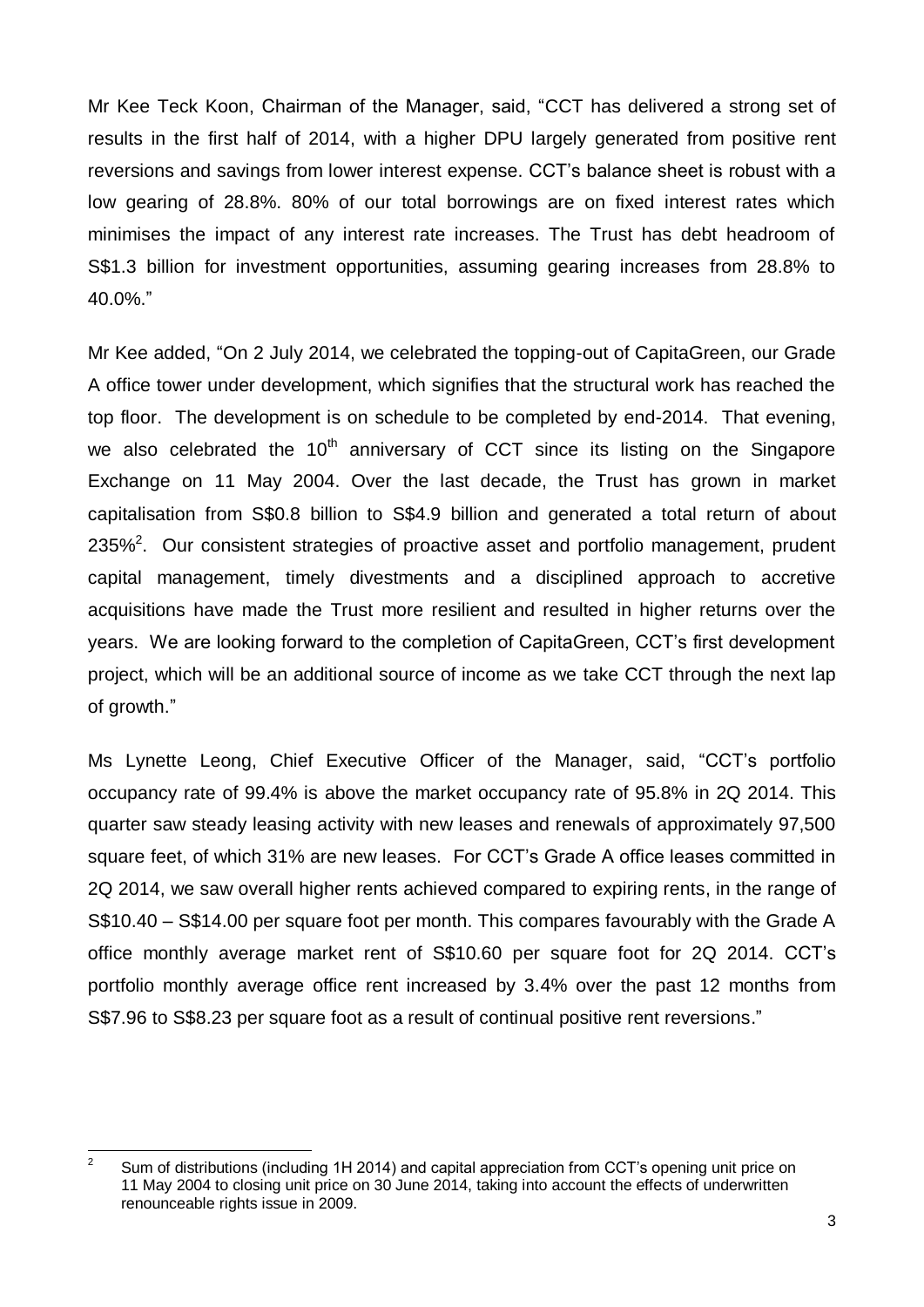Mr Kee Teck Koon, Chairman of the Manager, said, "CCT has delivered a strong set of results in the first half of 2014, with a higher DPU largely generated from positive rent reversions and savings from lower interest expense. CCT's balance sheet is robust with a low gearing of 28.8%. 80% of our total borrowings are on fixed interest rates which minimises the impact of any interest rate increases. The Trust has debt headroom of S\$1.3 billion for investment opportunities, assuming gearing increases from 28.8% to 40.0%."

Mr Kee added, "On 2 July 2014, we celebrated the topping-out of CapitaGreen, our Grade A office tower under development, which signifies that the structural work has reached the top floor. The development is on schedule to be completed by end-2014. That evening, we also celebrated the  $10<sup>th</sup>$  anniversary of CCT since its listing on the Singapore Exchange on 11 May 2004. Over the last decade, the Trust has grown in market capitalisation from S\$0.8 billion to S\$4.9 billion and generated a total return of about 235%<sup>2</sup>. Our consistent strategies of proactive asset and portfolio management, prudent capital management, timely divestments and a disciplined approach to accretive acquisitions have made the Trust more resilient and resulted in higher returns over the years. We are looking forward to the completion of CapitaGreen, CCT's first development project, which will be an additional source of income as we take CCT through the next lap of growth."

Ms Lynette Leong, Chief Executive Officer of the Manager, said, "CCT's portfolio occupancy rate of 99.4% is above the market occupancy rate of 95.8% in 2Q 2014. This quarter saw steady leasing activity with new leases and renewals of approximately 97,500 square feet, of which 31% are new leases. For CCT's Grade A office leases committed in 2Q 2014, we saw overall higher rents achieved compared to expiring rents, in the range of S\$10.40 – S\$14.00 per square foot per month. This compares favourably with the Grade A office monthly average market rent of S\$10.60 per square foot for 2Q 2014. CCT's portfolio monthly average office rent increased by 3.4% over the past 12 months from S\$7.96 to S\$8.23 per square foot as a result of continual positive rent reversions."

 $\overline{2}$ <sup>2</sup> Sum of distributions (including 1H 2014) and capital appreciation from CCT's opening unit price on 11 May 2004 to closing unit price on 30 June 2014, taking into account the effects of underwritten renounceable rights issue in 2009.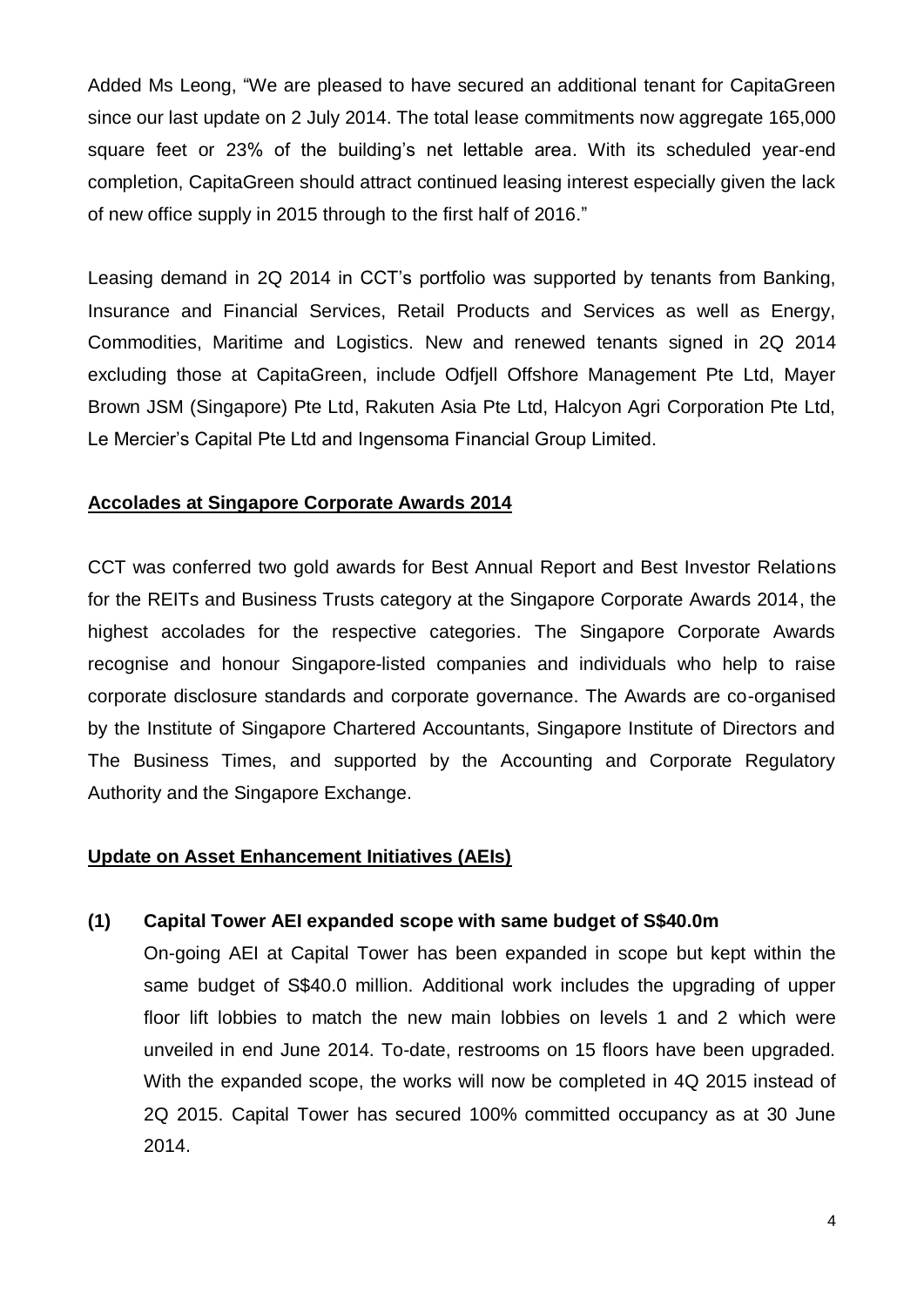Added Ms Leong, "We are pleased to have secured an additional tenant for CapitaGreen since our last update on 2 July 2014. The total lease commitments now aggregate 165,000 square feet or 23% of the building's net lettable area. With its scheduled year-end completion, CapitaGreen should attract continued leasing interest especially given the lack of new office supply in 2015 through to the first half of 2016."

Leasing demand in 2Q 2014 in CCT's portfolio was supported by tenants from Banking, Insurance and Financial Services, Retail Products and Services as well as Energy, Commodities, Maritime and Logistics. New and renewed tenants signed in 2Q 2014 excluding those at CapitaGreen, include Odfjell Offshore Management Pte Ltd, Mayer Brown JSM (Singapore) Pte Ltd, Rakuten Asia Pte Ltd, Halcyon Agri Corporation Pte Ltd, Le Mercier's Capital Pte Ltd and Ingensoma Financial Group Limited.

# **Accolades at Singapore Corporate Awards 2014**

CCT was conferred two gold awards for Best Annual Report and Best Investor Relations for the REITs and Business Trusts category at the Singapore Corporate Awards 2014, the highest accolades for the respective categories. The Singapore Corporate Awards recognise and honour Singapore-listed companies and individuals who help to raise corporate disclosure standards and corporate governance. The Awards are co-organised by the Institute of Singapore Chartered Accountants, Singapore Institute of Directors and The Business Times, and supported by the Accounting and Corporate Regulatory Authority and the Singapore Exchange.

# **Update on Asset Enhancement Initiatives (AEIs)**

# **(1) Capital Tower AEI expanded scope with same budget of S\$40.0m**

On-going AEI at Capital Tower has been expanded in scope but kept within the same budget of S\$40.0 million. Additional work includes the upgrading of upper floor lift lobbies to match the new main lobbies on levels 1 and 2 which were unveiled in end June 2014. To-date, restrooms on 15 floors have been upgraded. With the expanded scope, the works will now be completed in 4Q 2015 instead of 2Q 2015. Capital Tower has secured 100% committed occupancy as at 30 June 2014.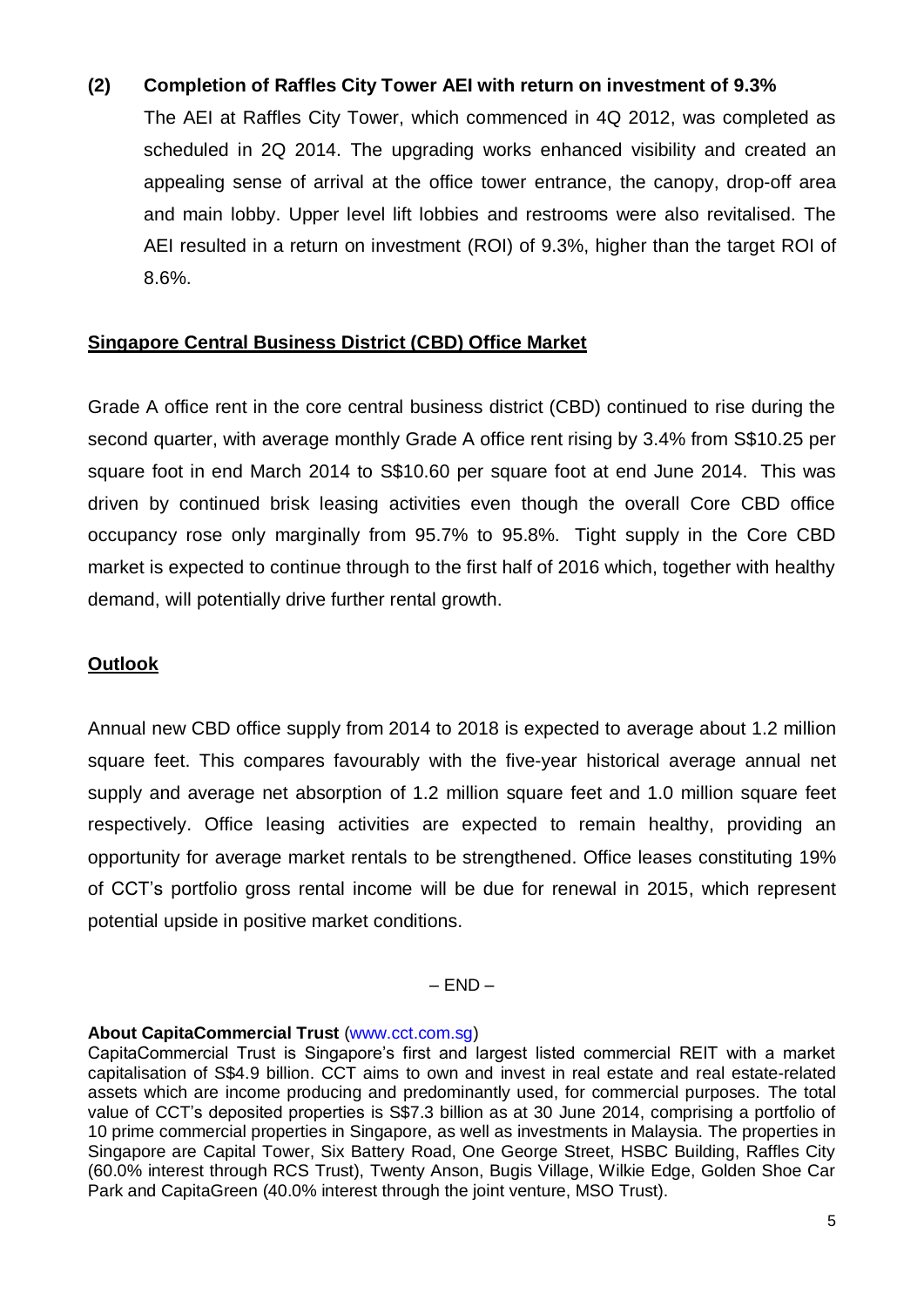# **(2) Completion of Raffles City Tower AEI with return on investment of 9.3%**

The AEI at Raffles City Tower, which commenced in 4Q 2012, was completed as scheduled in 2Q 2014. The upgrading works enhanced visibility and created an appealing sense of arrival at the office tower entrance, the canopy, drop-off area and main lobby. Upper level lift lobbies and restrooms were also revitalised. The AEI resulted in a return on investment (ROI) of 9.3%, higher than the target ROI of 8.6%.

# **Singapore Central Business District (CBD) Office Market**

Grade A office rent in the core central business district (CBD) continued to rise during the second quarter, with average monthly Grade A office rent rising by 3.4% from S\$10.25 per square foot in end March 2014 to S\$10.60 per square foot at end June 2014. This was driven by continued brisk leasing activities even though the overall Core CBD office occupancy rose only marginally from 95.7% to 95.8%. Tight supply in the Core CBD market is expected to continue through to the first half of 2016 which, together with healthy demand, will potentially drive further rental growth.

# **Outlook**

Annual new CBD office supply from 2014 to 2018 is expected to average about 1.2 million square feet. This compares favourably with the five-year historical average annual net supply and average net absorption of 1.2 million square feet and 1.0 million square feet respectively. Office leasing activities are expected to remain healthy, providing an opportunity for average market rentals to be strengthened. Office leases constituting 19% of CCT's portfolio gross rental income will be due for renewal in 2015, which represent potential upside in positive market conditions.

 $-$  END $-$ 

#### **About CapitaCommercial Trust** (www.cct.com.sg)

CapitaCommercial Trust is Singapore's first and largest listed commercial REIT with a market capitalisation of S\$4.9 billion. CCT aims to own and invest in real estate and real estate-related assets which are income producing and predominantly used, for commercial purposes. The total value of CCT's deposited properties is S\$7.3 billion as at 30 June 2014, comprising a portfolio of 10 prime commercial properties in Singapore, as well as investments in Malaysia. The properties in Singapore are Capital Tower, Six Battery Road, One George Street, HSBC Building, Raffles City (60.0% interest through RCS Trust), Twenty Anson, Bugis Village, Wilkie Edge, Golden Shoe Car Park and CapitaGreen (40.0% interest through the joint venture, MSO Trust).